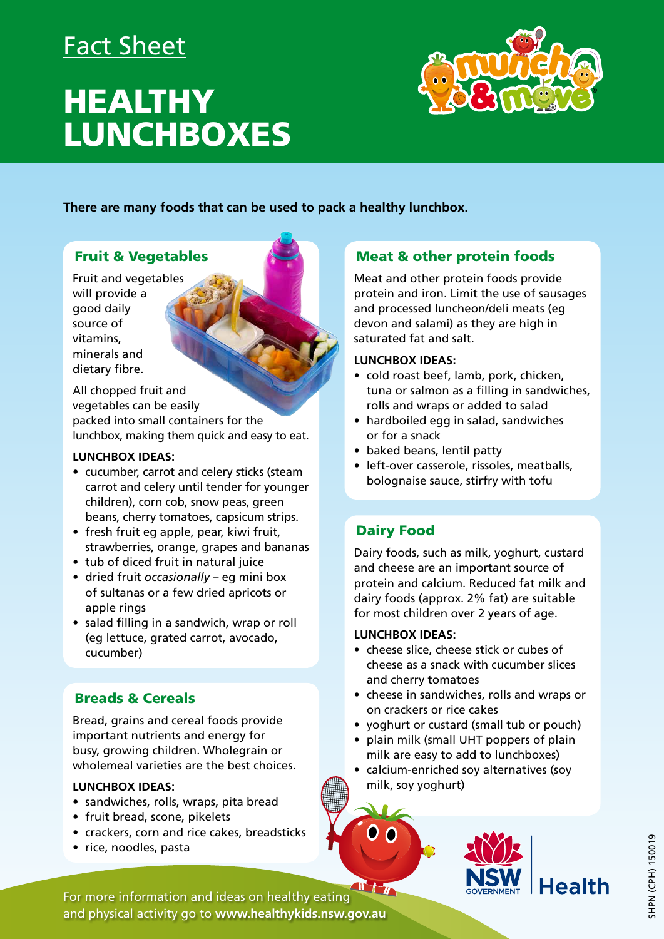# Fact Sheet

# **HEALTHY** LUNCHBOXES



**There are many foods that can be used to pack a healthy lunchbox.** 

## Fruit & Vegetables

Fruit and vegetables will provide a good daily source of vitamins, minerals and dietary fibre.

All chopped fruit and vegetables can be easily packed into small containers for the lunchbox, making them quick and easy to eat.

#### **LUNCHBOX IDEAS:**

- cucumber, carrot and celery sticks (steam carrot and celery until tender for younger children), corn cob, snow peas, green beans, cherry tomatoes, capsicum strips.
- fresh fruit eg apple, pear, kiwi fruit, strawberries, orange, grapes and bananas
- tub of diced fruit in natural juice
- dried fruit *occasionally* eg mini box of sultanas or a few dried apricots or apple rings
- salad filling in a sandwich, wrap or roll (eg lettuce, grated carrot, avocado, cucumber)

## Breads & Cereals

Bread, grains and cereal foods provide important nutrients and energy for busy, growing children. Wholegrain or wholemeal varieties are the best choices.

#### **LUNCHBOX IDEAS:**

- sandwiches, rolls, wraps, pita bread
- fruit bread, scone, pikelets
- crackers, corn and rice cakes, breadsticks
- rice, noodles, pasta

## Meat & other protein foods

Meat and other protein foods provide protein and iron. Limit the use of sausages and processed luncheon/deli meats (eg devon and salami) as they are high in saturated fat and salt.

#### **LUNCHBOX IDEAS:**

- cold roast beef, lamb, pork, chicken, tuna or salmon as a filling in sandwiches, rolls and wraps or added to salad
- hardboiled egg in salad, sandwiches or for a snack
- baked beans, lentil patty
- left-over casserole, rissoles, meatballs, bolognaise sauce, stirfry with tofu

# Dairy Food

Dairy foods, such as milk, yoghurt, custard and cheese are an important source of protein and calcium. Reduced fat milk and dairy foods (approx. 2% fat) are suitable for most children over 2 years of age.

#### **LUNCHBOX IDEAS:**

- cheese slice, cheese stick or cubes of cheese as a snack with cucumber slices and cherry tomatoes
- cheese in sandwiches, rolls and wraps or on crackers or rice cakes
- yoghurt or custard (small tub or pouch)
- plain milk (small UHT poppers of plain milk are easy to add to lunchboxes)
- calcium-enriched soy alternatives (soy milk, soy yoghurt)



 $T + y$ For more information and ideas on healthy eating and physical activity go to **www.healthykids.nsw.gov.au**